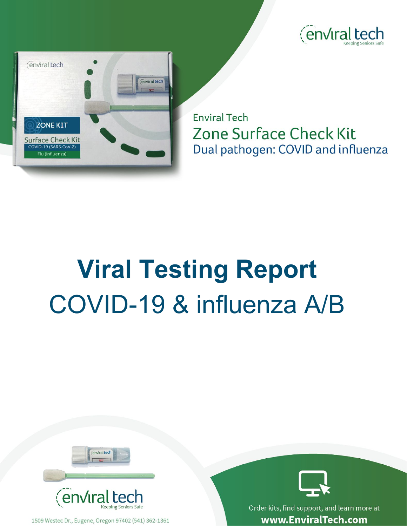



**Enviral Tech Zone Surface Check Kit** Dual pathogen: COVID and influenza

## **Viral Testing Report** COVID-19 & influenza A/B



1509 Westec Dr., Eugene, Oregon 97402 (541) 362-1361



Order kits, find support, and learn more at www.EnviralTech.com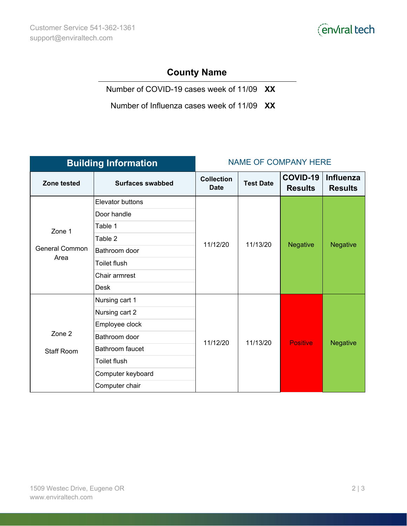

## **County Name**

Number of COVID-19 cases week of 11/09 **XX**

Number of Influenza cases week of 11/09 **XX**

| <b>Building Information</b>             |                         | <b>NAME OF COMPANY HERE</b>      |                  |                                   |                                    |
|-----------------------------------------|-------------------------|----------------------------------|------------------|-----------------------------------|------------------------------------|
| Zone tested                             | <b>Surfaces swabbed</b> | <b>Collection</b><br><b>Date</b> | <b>Test Date</b> | <b>COVID-19</b><br><b>Results</b> | <b>Influenza</b><br><b>Results</b> |
| Zone 1<br><b>General Common</b><br>Area | Elevator buttons        | 11/12/20                         | 11/13/20         | <b>Negative</b>                   | <b>Negative</b>                    |
|                                         | Door handle             |                                  |                  |                                   |                                    |
|                                         | Table 1                 |                                  |                  |                                   |                                    |
|                                         | Table 2                 |                                  |                  |                                   |                                    |
|                                         | Bathroom door           |                                  |                  |                                   |                                    |
|                                         | <b>Toilet flush</b>     |                                  |                  |                                   |                                    |
|                                         | Chair armrest           |                                  |                  |                                   |                                    |
|                                         | Desk                    |                                  |                  |                                   |                                    |
| Zone 2<br><b>Staff Room</b>             | Nursing cart 1          | 11/12/20                         | 11/13/20         | <b>Positive</b>                   | <b>Negative</b>                    |
|                                         | Nursing cart 2          |                                  |                  |                                   |                                    |
|                                         | Employee clock          |                                  |                  |                                   |                                    |
|                                         | Bathroom door           |                                  |                  |                                   |                                    |
|                                         | Bathroom faucet         |                                  |                  |                                   |                                    |
|                                         | Toilet flush            |                                  |                  |                                   |                                    |
|                                         | Computer keyboard       |                                  |                  |                                   |                                    |
|                                         | Computer chair          |                                  |                  |                                   |                                    |